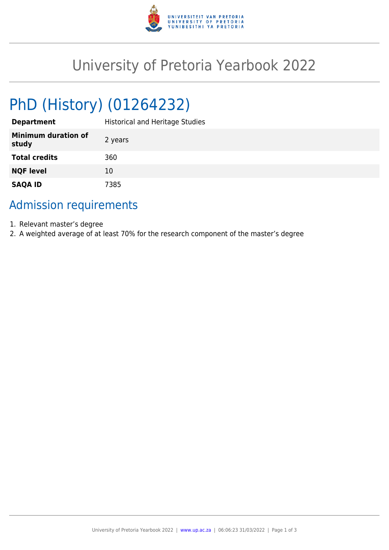

## University of Pretoria Yearbook 2022

# PhD (History) (01264232)

| <b>Department</b>                   | <b>Historical and Heritage Studies</b> |
|-------------------------------------|----------------------------------------|
| <b>Minimum duration of</b><br>study | 2 years                                |
| <b>Total credits</b>                | 360                                    |
| <b>NQF level</b>                    | 10                                     |
| <b>SAQA ID</b>                      | 7385                                   |

## Admission requirements

- 1. Relevant master's degree
- 2. A weighted average of at least 70% for the research component of the master's degree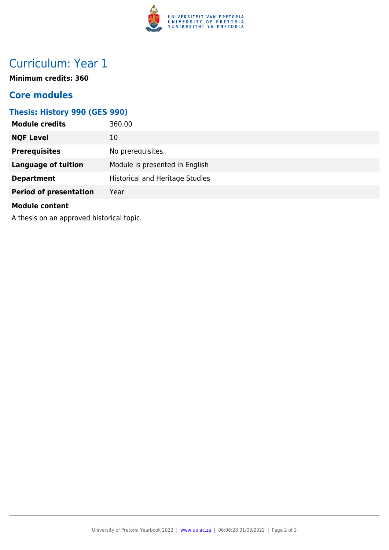

## Curriculum: Year 1

**Minimum credits: 360**

#### **Core modules**

#### **Thesis: History 990 (GES 990)**

| <b>Module credits</b>                                                                                                                                                                                                          | 360.00                                 |  |
|--------------------------------------------------------------------------------------------------------------------------------------------------------------------------------------------------------------------------------|----------------------------------------|--|
| <b>NQF Level</b>                                                                                                                                                                                                               | 10                                     |  |
| <b>Prerequisites</b>                                                                                                                                                                                                           | No prerequisites.                      |  |
| <b>Language of tuition</b>                                                                                                                                                                                                     | Module is presented in English         |  |
| <b>Department</b>                                                                                                                                                                                                              | <b>Historical and Heritage Studies</b> |  |
| <b>Period of presentation</b>                                                                                                                                                                                                  | Year                                   |  |
| <b>Module content</b>                                                                                                                                                                                                          |                                        |  |
| A different to the company of the second state of the second state of the second state of the second state of the second state of the second state of the second state of the second state of the second state of the second s |                                        |  |

A thesis on an approved historical topic.